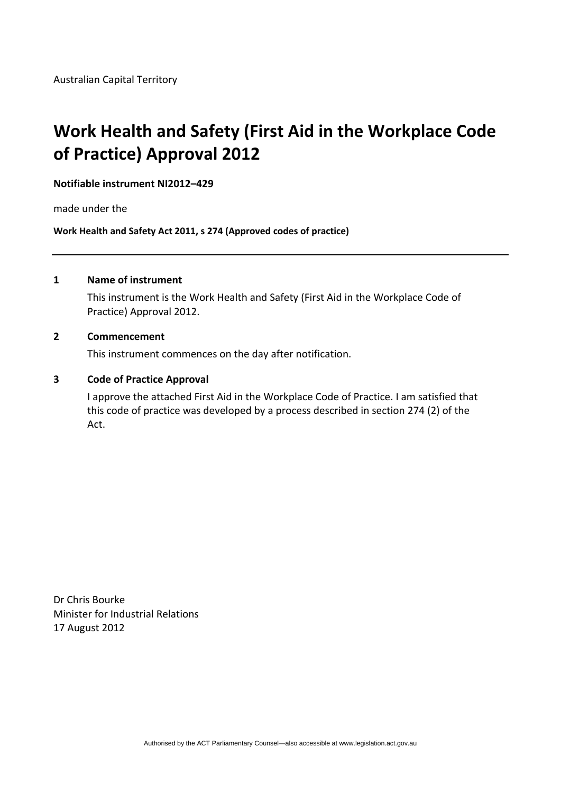# **Work Health and Safety (First Aid in the Workplace Code of Practice) Approval 2012**

#### **Notifiable instrument NI2012–429**

made under the

**Work Health and Safety Act 2011, s 274 (Approved codes of practice)**

#### **1 Name of instrument**

This instrument is the Work Health and Safety (First Aid in the Workplace Code of Practice) Approval 2012.

#### **2 Commencement**

This instrument commences on the day after notification.

#### **3 Code of Practice Approval**

I approve the attached First Aid in the Workplace Code of Practice. I am satisfied that this code of practice was developed by a process described in section 274 (2) of the Act.

Dr Chris Bourke Minister for Industrial Relations 17 August 2012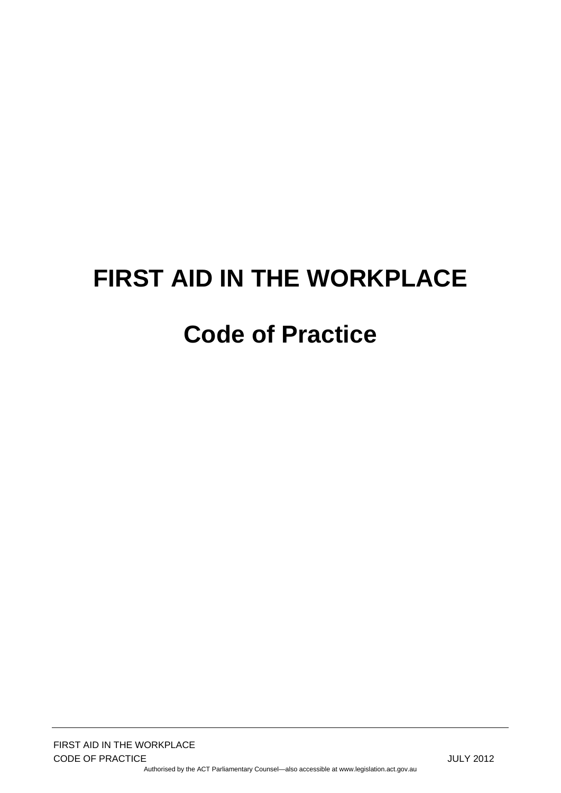# **FIRST AID IN THE WORKPLACE Code of Practice**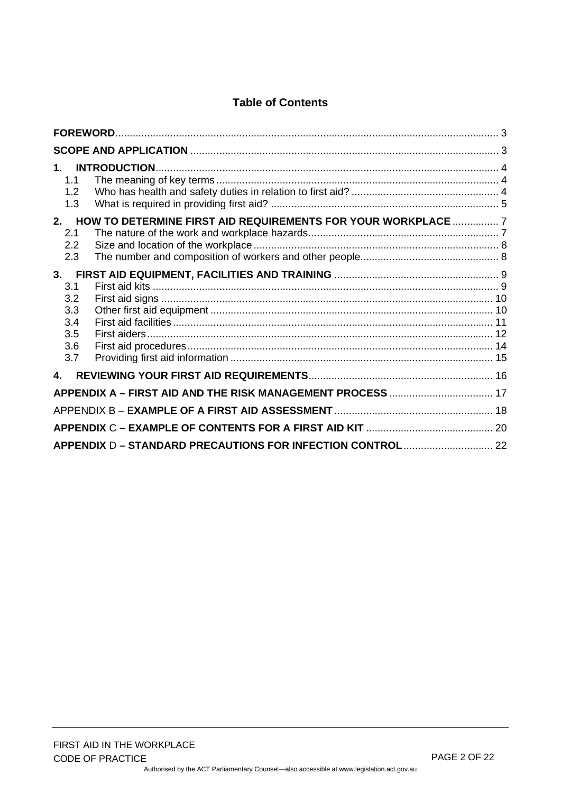# **Table of Contents**

| $1_{-}$<br>1.1<br>1.2<br>1.3                                                                          |  |
|-------------------------------------------------------------------------------------------------------|--|
| 2.<br>HOW TO DETERMINE FIRST AID REQUIREMENTS FOR YOUR WORKPLACE  7<br>2.1<br>$2.2\phantom{0}$<br>2.3 |  |
| 3.<br>3.1<br>3.2<br>3.3<br>3.4<br>3.5<br>3.6<br>3.7                                                   |  |
| $\mathbf{4}_{-}$<br>APPENDIX A - FIRST AID AND THE RISK MANAGEMENT PROCESS  17                        |  |
|                                                                                                       |  |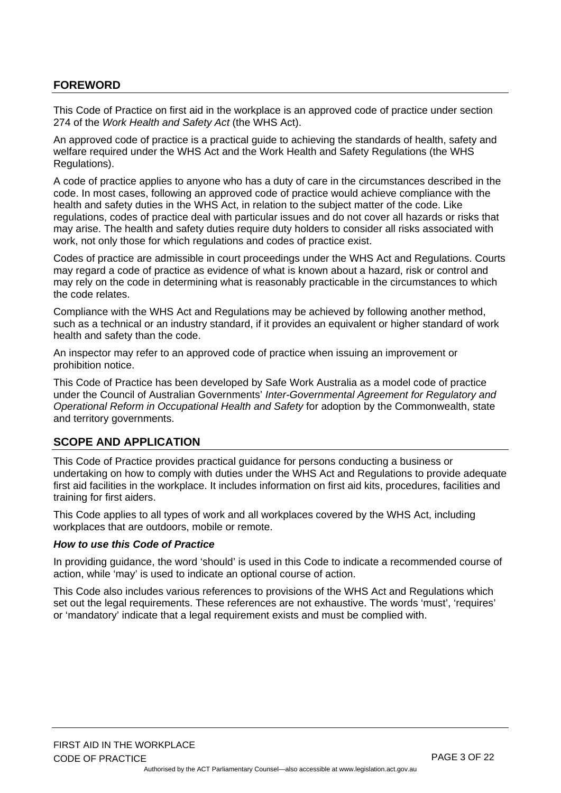#### <span id="page-3-0"></span>**FOREWORD**

This Code of Practice on first aid in the workplace is an approved code of practice under section 274 of the *Work Health and Safety Act* (the WHS Act).

An approved code of practice is a practical guide to achieving the standards of health, safety and welfare required under the WHS Act and the Work Health and Safety Regulations (the WHS Regulations).

A code of practice applies to anyone who has a duty of care in the circumstances described in the code. In most cases, following an approved code of practice would achieve compliance with the health and safety duties in the WHS Act, in relation to the subject matter of the code. Like regulations, codes of practice deal with particular issues and do not cover all hazards or risks that may arise. The health and safety duties require duty holders to consider all risks associated with work, not only those for which regulations and codes of practice exist.

Codes of practice are admissible in court proceedings under the WHS Act and Regulations. Courts may regard a code of practice as evidence of what is known about a hazard, risk or control and may rely on the code in determining what is reasonably practicable in the circumstances to which the code relates.

Compliance with the WHS Act and Regulations may be achieved by following another method, such as a technical or an industry standard, if it provides an equivalent or higher standard of work health and safety than the code.

An inspector may refer to an approved code of practice when issuing an improvement or prohibition notice.

This Code of Practice has been developed by Safe Work Australia as a model code of practice under the Council of Australian Governments' *Inter-Governmental Agreement for Regulatory and Operational Reform in Occupational Health and Safety* for adoption by the Commonwealth, state and territory governments.

#### <span id="page-3-1"></span>**SCOPE AND APPLICATION**

This Code of Practice provides practical guidance for persons conducting a business or undertaking on how to comply with duties under the WHS Act and Regulations to provide adequate first aid facilities in the workplace. It includes information on first aid kits, procedures, facilities and training for first aiders.

This Code applies to all types of work and all workplaces covered by the WHS Act, including workplaces that are outdoors, mobile or remote.

#### *How to use this Code of Practice*

In providing guidance, the word 'should' is used in this Code to indicate a recommended course of action, while 'may' is used to indicate an optional course of action.

This Code also includes various references to provisions of the WHS Act and Regulations which set out the legal requirements. These references are not exhaustive. The words 'must', 'requires' or 'mandatory' indicate that a legal requirement exists and must be complied with.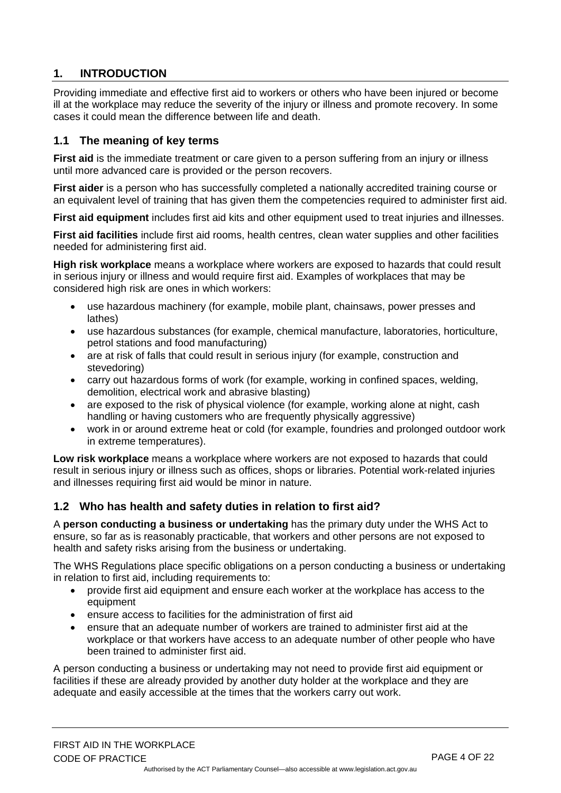# <span id="page-4-0"></span>**1. INTRODUCTION**

Providing immediate and effective first aid to workers or others who have been injured or become ill at the workplace may reduce the severity of the injury or illness and promote recovery. In some cases it could mean the difference between life and death.

# <span id="page-4-1"></span>**1.1 The meaning of key terms**

**First aid** is the immediate treatment or care given to a person suffering from an injury or illness until more advanced care is provided or the person recovers.

**First aider** is a person who has successfully completed a nationally accredited training course or an equivalent level of training that has given them the competencies required to administer first aid.

**First aid equipment** includes first aid kits and other equipment used to treat injuries and illnesses.

**First aid facilities** include first aid rooms, health centres, clean water supplies and other facilities needed for administering first aid.

**High risk workplace** means a workplace where workers are exposed to hazards that could result in serious injury or illness and would require first aid. Examples of workplaces that may be considered high risk are ones in which workers:

- use hazardous machinery (for example, mobile plant, chainsaws, power presses and lathes)
- use hazardous substances (for example, chemical manufacture, laboratories, horticulture, petrol stations and food manufacturing)
- are at risk of falls that could result in serious injury (for example, construction and stevedoring)
- carry out hazardous forms of work (for example, working in confined spaces, welding, demolition, electrical work and abrasive blasting)
- are exposed to the risk of physical violence (for example, working alone at night, cash handling or having customers who are frequently physically aggressive)
- work in or around extreme heat or cold (for example, foundries and prolonged outdoor work in extreme temperatures).

**Low risk workplace** means a workplace where workers are not exposed to hazards that could result in serious injury or illness such as offices, shops or libraries. Potential work-related injuries and illnesses requiring first aid would be minor in nature.

# <span id="page-4-2"></span>**1.2 Who has health and safety duties in relation to first aid?**

A **person conducting a business or undertaking** has the primary duty under the WHS Act to ensure, so far as is reasonably practicable, that workers and other persons are not exposed to health and safety risks arising from the business or undertaking.

The WHS Regulations place specific obligations on a person conducting a business or undertaking in relation to first aid, including requirements to:

- provide first aid equipment and ensure each worker at the workplace has access to the equipment
- ensure access to facilities for the administration of first aid
- ensure that an adequate number of workers are trained to administer first aid at the workplace or that workers have access to an adequate number of other people who have been trained to administer first aid.

A person conducting a business or undertaking may not need to provide first aid equipment or facilities if these are already provided by another duty holder at the workplace and they are adequate and easily accessible at the times that the workers carry out work.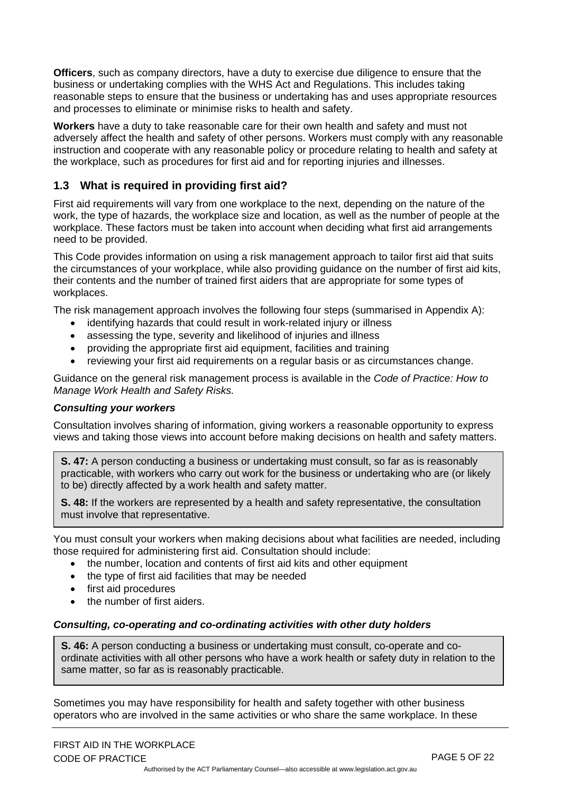**Officers**, such as company directors, have a duty to exercise due diligence to ensure that the business or undertaking complies with the WHS Act and Regulations. This includes taking reasonable steps to ensure that the business or undertaking has and uses appropriate resources and processes to eliminate or minimise risks to health and safety.

**Workers** have a duty to take reasonable care for their own health and safety and must not adversely affect the health and safety of other persons. Workers must comply with any reasonable instruction and cooperate with any reasonable policy or procedure relating to health and safety at the workplace, such as procedures for first aid and for reporting injuries and illnesses.

# <span id="page-5-0"></span>**1.3 What is required in providing first aid?**

First aid requirements will vary from one workplace to the next, depending on the nature of the work, the type of hazards, the workplace size and location, as well as the number of people at the workplace. These factors must be taken into account when deciding what first aid arrangements need to be provided.

This Code provides information on using a risk management approach to tailor first aid that suits the circumstances of your workplace, while also providing guidance on the number of first aid kits, their contents and the number of trained first aiders that are appropriate for some types of workplaces.

The risk management approach involves the following four steps (summarised in Appendix A):

- identifying hazards that could result in work-related injury or illness
- assessing the type, severity and likelihood of injuries and illness
- providing the appropriate first aid equipment, facilities and training
- reviewing your first aid requirements on a regular basis or as circumstances change.

Guidance on the general risk management process is available in the *Code of Practice: How to Manage Work Health and Safety Risks.* 

#### *Consulting your workers*

Consultation involves sharing of information, giving workers a reasonable opportunity to express views and taking those views into account before making decisions on health and safety matters.

**S. 47:** A person conducting a business or undertaking must consult, so far as is reasonably practicable, with workers who carry out work for the business or undertaking who are (or likely to be) directly affected by a work health and safety matter.

**S. 48:** If the workers are represented by a health and safety representative, the consultation must involve that representative.

You must consult your workers when making decisions about what facilities are needed, including those required for administering first aid. Consultation should include:

- the number, location and contents of first aid kits and other equipment
- the type of first aid facilities that may be needed
- first aid procedures
- the number of first aiders.

#### *Consulting, co-operating and co-ordinating activities with other duty holders*

**S. 46:** A person conducting a business or undertaking must consult, co-operate and coordinate activities with all other persons who have a work health or safety duty in relation to the same matter, so far as is reasonably practicable.

Sometimes you may have responsibility for health and safety together with other business operators who are involved in the same activities or who share the same workplace. In these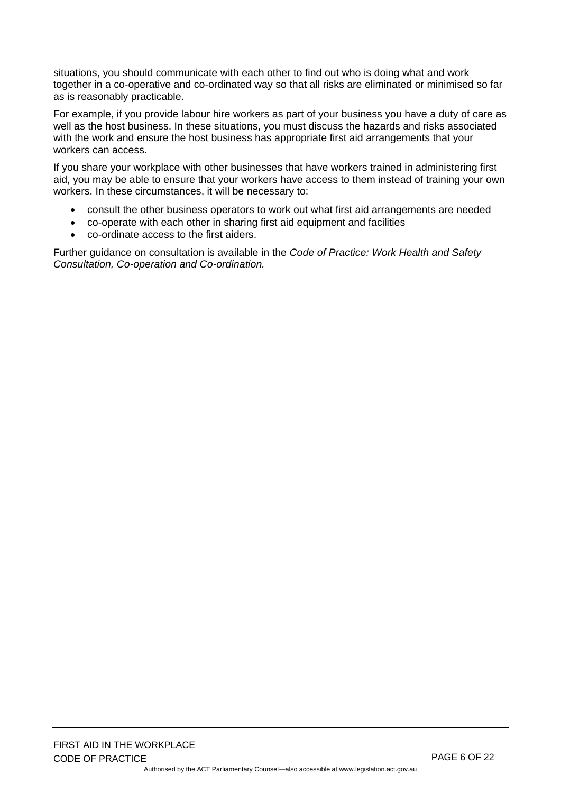situations, you should communicate with each other to find out who is doing what and work together in a co-operative and co-ordinated way so that all risks are eliminated or minimised so far as is reasonably practicable.

For example, if you provide labour hire workers as part of your business you have a duty of care as well as the host business. In these situations, you must discuss the hazards and risks associated with the work and ensure the host business has appropriate first aid arrangements that your workers can access.

If you share your workplace with other businesses that have workers trained in administering first aid, you may be able to ensure that your workers have access to them instead of training your own workers. In these circumstances, it will be necessary to:

- consult the other business operators to work out what first aid arrangements are needed
- co-operate with each other in sharing first aid equipment and facilities
- co-ordinate access to the first aiders.

Further guidance on consultation is available in the *Code of Practice: Work Health and Safety Consultation, Co-operation and Co-ordination.*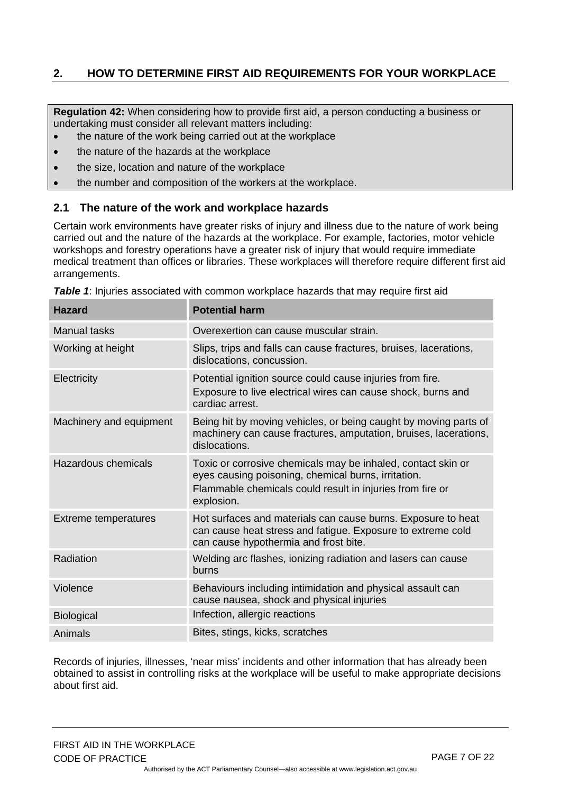# <span id="page-7-0"></span>**2. HOW TO DETERMINE FIRST AID REQUIREMENTS FOR YOUR WORKPLACE**

**Regulation 42:** When considering how to provide first aid, a person conducting a business or undertaking must consider all relevant matters including:

- the nature of the work being carried out at the workplace
- the nature of the hazards at the workplace
- the size, location and nature of the workplace
- the number and composition of the workers at the workplace.

#### <span id="page-7-1"></span>**2.1 The nature of the work and workplace hazards**

Certain work environments have greater risks of injury and illness due to the nature of work being carried out and the nature of the hazards at the workplace. For example, factories, motor vehicle workshops and forestry operations have a greater risk of injury that would require immediate medical treatment than offices or libraries. These workplaces will therefore require different first aid arrangements.

| <b>Hazard</b>               | <b>Potential harm</b>                                                                                                                                                                          |
|-----------------------------|------------------------------------------------------------------------------------------------------------------------------------------------------------------------------------------------|
| Manual tasks                | Overexertion can cause muscular strain.                                                                                                                                                        |
| Working at height           | Slips, trips and falls can cause fractures, bruises, lacerations,<br>dislocations, concussion.                                                                                                 |
| Electricity                 | Potential ignition source could cause injuries from fire.<br>Exposure to live electrical wires can cause shock, burns and<br>cardiac arrest.                                                   |
| Machinery and equipment     | Being hit by moving vehicles, or being caught by moving parts of<br>machinery can cause fractures, amputation, bruises, lacerations,<br>dislocations.                                          |
| <b>Hazardous chemicals</b>  | Toxic or corrosive chemicals may be inhaled, contact skin or<br>eyes causing poisoning, chemical burns, irritation.<br>Flammable chemicals could result in injuries from fire or<br>explosion. |
| <b>Extreme temperatures</b> | Hot surfaces and materials can cause burns. Exposure to heat<br>can cause heat stress and fatigue. Exposure to extreme cold<br>can cause hypothermia and frost bite.                           |
| Radiation                   | Welding arc flashes, ionizing radiation and lasers can cause<br>burns                                                                                                                          |
| Violence                    | Behaviours including intimidation and physical assault can<br>cause nausea, shock and physical injuries                                                                                        |
| <b>Biological</b>           | Infection, allergic reactions                                                                                                                                                                  |
| Animals                     | Bites, stings, kicks, scratches                                                                                                                                                                |

**Table 1:** Injuries associated with common workplace hazards that may require first aid

Records of injuries, illnesses, 'near miss' incidents and other information that has already been obtained to assist in controlling risks at the workplace will be useful to make appropriate decisions about first aid.

Authorised by the ACT Parliamentary Counsel—also accessible at www.legislation.act.gov.au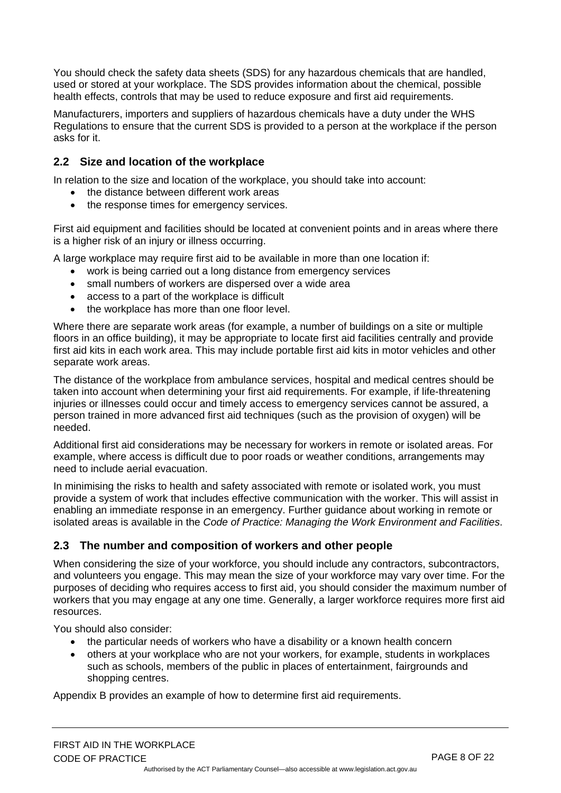You should check the safety data sheets (SDS) for any hazardous chemicals that are handled, used or stored at your workplace. The SDS provides information about the chemical, possible health effects, controls that may be used to reduce exposure and first aid requirements.

Manufacturers, importers and suppliers of hazardous chemicals have a duty under the WHS Regulations to ensure that the current SDS is provided to a person at the workplace if the person asks for it.

# <span id="page-8-0"></span>**2.2 Size and location of the workplace**

In relation to the size and location of the workplace, you should take into account:

- the distance between different work areas
- the response times for emergency services.

First aid equipment and facilities should be located at convenient points and in areas where there is a higher risk of an injury or illness occurring.

A large workplace may require first aid to be available in more than one location if:

- work is being carried out a long distance from emergency services
- small numbers of workers are dispersed over a wide area
- access to a part of the workplace is difficult
- the workplace has more than one floor level.

Where there are separate work areas (for example, a number of buildings on a site or multiple floors in an office building), it may be appropriate to locate first aid facilities centrally and provide first aid kits in each work area. This may include portable first aid kits in motor vehicles and other separate work areas.

The distance of the workplace from ambulance services, hospital and medical centres should be taken into account when determining your first aid requirements. For example, if life-threatening injuries or illnesses could occur and timely access to emergency services cannot be assured, a person trained in more advanced first aid techniques (such as the provision of oxygen) will be needed.

Additional first aid considerations may be necessary for workers in remote or isolated areas. For example, where access is difficult due to poor roads or weather conditions, arrangements may need to include aerial evacuation.

In minimising the risks to health and safety associated with remote or isolated work, you must provide a system of work that includes effective communication with the worker. This will assist in enabling an immediate response in an emergency. Further guidance about working in remote or isolated areas is available in the *Code of Practice: Managing the Work Environment and Facilities*.

# <span id="page-8-1"></span>**2.3 The number and composition of workers and other people**

When considering the size of your workforce, you should include any contractors, subcontractors, and volunteers you engage. This may mean the size of your workforce may vary over time. For the purposes of deciding who requires access to first aid, you should consider the maximum number of workers that you may engage at any one time. Generally, a larger workforce requires more first aid resources.

You should also consider:

- the particular needs of workers who have a disability or a known health concern
- others at your workplace who are not your workers, for example, students in workplaces such as schools, members of the public in places of entertainment, fairgrounds and shopping centres.

Appendix B provides an example of how to determine first aid requirements.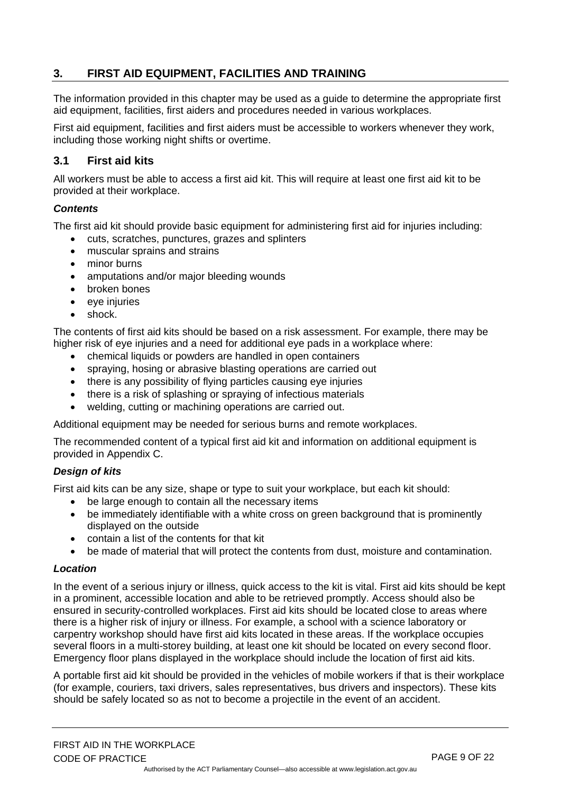# <span id="page-9-0"></span>**3. FIRST AID EQUIPMENT, FACILITIES AND TRAINING**

The information provided in this chapter may be used as a guide to determine the appropriate first aid equipment, facilities, first aiders and procedures needed in various workplaces.

First aid equipment, facilities and first aiders must be accessible to workers whenever they work, including those working night shifts or overtime.

### <span id="page-9-1"></span>**3.1 First aid kits**

All workers must be able to access a first aid kit. This will require at least one first aid kit to be provided at their workplace.

#### *Contents*

The first aid kit should provide basic equipment for administering first aid for injuries including:

- cuts, scratches, punctures, grazes and splinters
- muscular sprains and strains
- minor burns
- amputations and/or major bleeding wounds
- broken bones
- $\bullet$  eve injuries
- shock.

The contents of first aid kits should be based on a risk assessment. For example, there may be higher risk of eye injuries and a need for additional eye pads in a workplace where:

- chemical liquids or powders are handled in open containers
- spraying, hosing or abrasive blasting operations are carried out
- there is any possibility of flying particles causing eye injuries
- there is a risk of splashing or spraying of infectious materials
- welding, cutting or machining operations are carried out.

Additional equipment may be needed for serious burns and remote workplaces.

The recommended content of a typical first aid kit and information on additional equipment is provided in Appendix C.

#### *Design of kits*

First aid kits can be any size, shape or type to suit your workplace, but each kit should:

- be large enough to contain all the necessary items
- be immediately identifiable with a white cross on green background that is prominently displayed on the outside
- contain a list of the contents for that kit
- be made of material that will protect the contents from dust, moisture and contamination.

#### *Location*

In the event of a serious injury or illness, quick access to the kit is vital. First aid kits should be kept in a prominent, accessible location and able to be retrieved promptly. Access should also be ensured in security-controlled workplaces. First aid kits should be located close to areas where there is a higher risk of injury or illness. For example, a school with a science laboratory or carpentry workshop should have first aid kits located in these areas. If the workplace occupies several floors in a multi-storey building, at least one kit should be located on every second floor. Emergency floor plans displayed in the workplace should include the location of first aid kits.

A portable first aid kit should be provided in the vehicles of mobile workers if that is their workplace (for example, couriers, taxi drivers, sales representatives, bus drivers and inspectors). These kits should be safely located so as not to become a projectile in the event of an accident.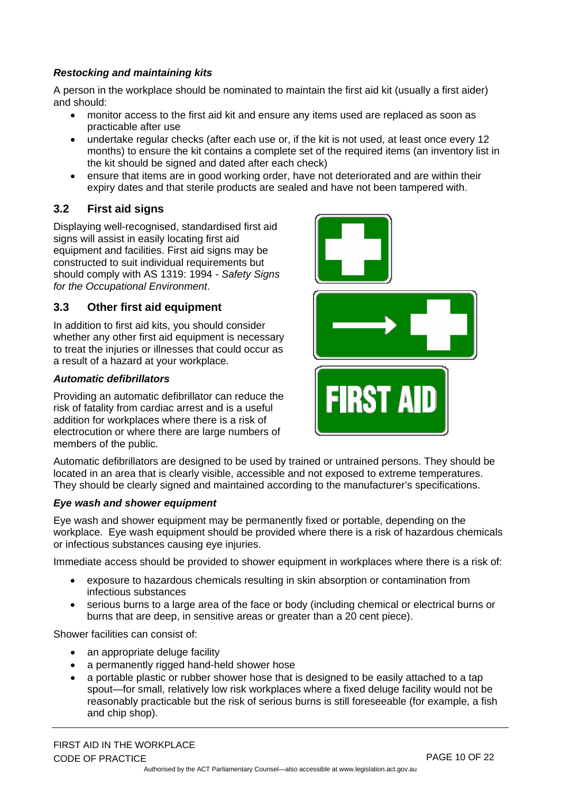## *Restocking and maintaining kits*

A person in the workplace should be nominated to maintain the first aid kit (usually a first aider) and should:

- monitor access to the first aid kit and ensure any items used are replaced as soon as practicable after use
- undertake regular checks (after each use or, if the kit is not used, at least once every 12 months) to ensure the kit contains a complete set of the required items (an inventory list in the kit should be signed and dated after each check)
- ensure that items are in good working order, have not deteriorated and are within their expiry dates and that sterile products are sealed and have not been tampered with.

# <span id="page-10-0"></span>**3.2 First aid signs**

Displaying well-recognised, standardised first aid signs will assist in easily locating first aid equipment and facilities. First aid signs may be constructed to suit individual requirements but should comply with AS 1319: 1994 *- Safety Signs for the Occupational Environment*.

### <span id="page-10-1"></span>**3.3 Other first aid equipment**

In addition to first aid kits, you should consider whether any other first aid equipment is necessary to treat the injuries or illnesses that could occur as a result of a hazard at your workplace.

#### *Automatic defibrillators*

Providing an automatic defibrillator can reduce the risk of fatality from cardiac arrest and is a useful addition for workplaces where there is a risk of electrocution or where there are large numbers of members of the public.



Automatic defibrillators are designed to be used by trained or untrained persons. They should be located in an area that is clearly visible, accessible and not exposed to extreme temperatures. They should be clearly signed and maintained according to the manufacturer's specifications.

#### *Eye wash and shower equipment*

Eye wash and shower equipment may be permanently fixed or portable, depending on the workplace. Eye wash equipment should be provided where there is a risk of hazardous chemicals or infectious substances causing eye injuries.

Immediate access should be provided to shower equipment in workplaces where there is a risk of:

- exposure to hazardous chemicals resulting in skin absorption or contamination from infectious substances
- serious burns to a large area of the face or body (including chemical or electrical burns or burns that are deep, in sensitive areas or greater than a 20 cent piece).

Shower facilities can consist of:

- an appropriate deluge facility
- a permanently rigged hand-held shower hose
- a portable plastic or rubber shower hose that is designed to be easily attached to a tap spout—for small, relatively low risk workplaces where a fixed deluge facility would not be reasonably practicable but the risk of serious burns is still foreseeable (for example, a fish and chip shop).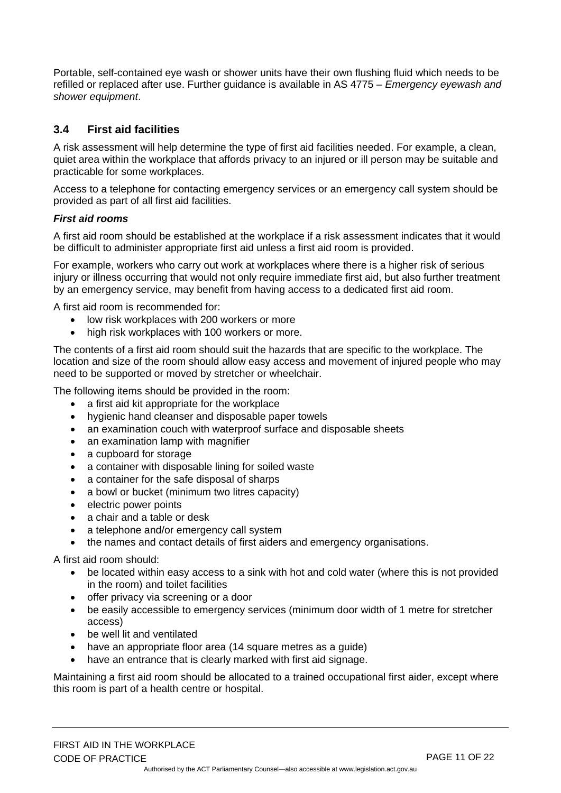Portable, self-contained eye wash or shower units have their own flushing fluid which needs to be refilled or replaced after use. Further guidance is available in AS 4775 – *Emergency eyewash and shower equipment*.

# <span id="page-11-0"></span>**3.4 First aid facilities**

A risk assessment will help determine the type of first aid facilities needed. For example, a clean, quiet area within the workplace that affords privacy to an injured or ill person may be suitable and practicable for some workplaces.

Access to a telephone for contacting emergency services or an emergency call system should be provided as part of all first aid facilities.

#### *First aid rooms*

A first aid room should be established at the workplace if a risk assessment indicates that it would be difficult to administer appropriate first aid unless a first aid room is provided.

For example, workers who carry out work at workplaces where there is a higher risk of serious injury or illness occurring that would not only require immediate first aid, but also further treatment by an emergency service, may benefit from having access to a dedicated first aid room.

A first aid room is recommended for:

- low risk workplaces with 200 workers or more
- high risk workplaces with 100 workers or more.

The contents of a first aid room should suit the hazards that are specific to the workplace. The location and size of the room should allow easy access and movement of injured people who may need to be supported or moved by stretcher or wheelchair.

The following items should be provided in the room:

- a first aid kit appropriate for the workplace
- hygienic hand cleanser and disposable paper towels
- an examination couch with waterproof surface and disposable sheets
- an examination lamp with magnifier
- a cupboard for storage
- a container with disposable lining for soiled waste
- a container for the safe disposal of sharps
- a bowl or bucket (minimum two litres capacity)
- electric power points
- a chair and a table or desk
- a telephone and/or emergency call system
- the names and contact details of first aiders and emergency organisations.

A first aid room should:

- be located within easy access to a sink with hot and cold water (where this is not provided in the room) and toilet facilities
- offer privacy via screening or a door
- be easily accessible to emergency services (minimum door width of 1 metre for stretcher access)
- be well lit and ventilated
- have an appropriate floor area (14 square metres as a guide)
- have an entrance that is clearly marked with first aid signage.

Maintaining a first aid room should be allocated to a trained occupational first aider, except where this room is part of a health centre or hospital.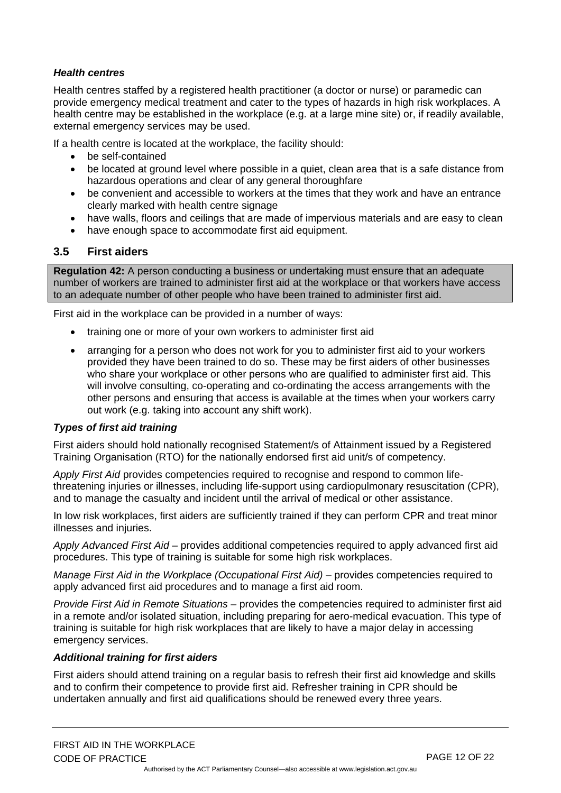#### *Health centres*

Health centres staffed by a registered health practitioner (a doctor or nurse) or paramedic can provide emergency medical treatment and cater to the types of hazards in high risk workplaces. A health centre may be established in the workplace (e.g. at a large mine site) or, if readily available, external emergency services may be used.

If a health centre is located at the workplace, the facility should:

- be self-contained
- be located at ground level where possible in a quiet, clean area that is a safe distance from hazardous operations and clear of any general thoroughfare
- be convenient and accessible to workers at the times that they work and have an entrance clearly marked with health centre signage
- have walls, floors and ceilings that are made of impervious materials and are easy to clean
- have enough space to accommodate first aid equipment.

### <span id="page-12-0"></span>**3.5 First aiders**

**Regulation 42:** A person conducting a business or undertaking must ensure that an adequate number of workers are trained to administer first aid at the workplace or that workers have access to an adequate number of other people who have been trained to administer first aid.

First aid in the workplace can be provided in a number of ways:

- training one or more of your own workers to administer first aid
- arranging for a person who does not work for you to administer first aid to your workers provided they have been trained to do so. These may be first aiders of other businesses who share your workplace or other persons who are qualified to administer first aid. This will involve consulting, co-operating and co-ordinating the access arrangements with the other persons and ensuring that access is available at the times when your workers carry out work (e.g. taking into account any shift work).

#### *Types of first aid training*

First aiders should hold nationally recognised Statement/s of Attainment issued by a Registered Training Organisation (RTO) for the nationally endorsed first aid unit/s of competency.

*Apply First Aid* provides competencies required to recognise and respond to common lifethreatening injuries or illnesses, including life-support using [cardiopulmonary resuscitation \(CPR\),](http://www.betterhealth.vic.gov.au/bhcv2/bhcarticles.nsf/pages/Cardiopulmonary_resuscitation_(CPR)) and to manage the casualty and incident until the arrival of medical or other assistance.

In low risk workplaces, first aiders are sufficiently trained if they can perform CPR and treat minor illnesses and injuries.

*Apply Advanced First Aid –* provides additional competencies required to apply advanced first aid procedures. This type of training is suitable for some high risk workplaces.

*Manage First Aid in the Workplace (Occupational First Aid) –* provides competencies required to apply advanced first aid procedures and to manage a first aid room.

*Provide First Aid in Remote Situations –* provides the competencies required to administer first aid in a remote and/or isolated situation, including preparing for aero-medical evacuation. This type of training is suitable for high risk workplaces that are likely to have a major delay in accessing emergency services.

#### *Additional training for first aiders*

First aiders should attend training on a regular basis to refresh their first aid knowledge and skills and to confirm their competence to provide first aid. Refresher training in CPR should be undertaken annually and first aid qualifications should be renewed every three years.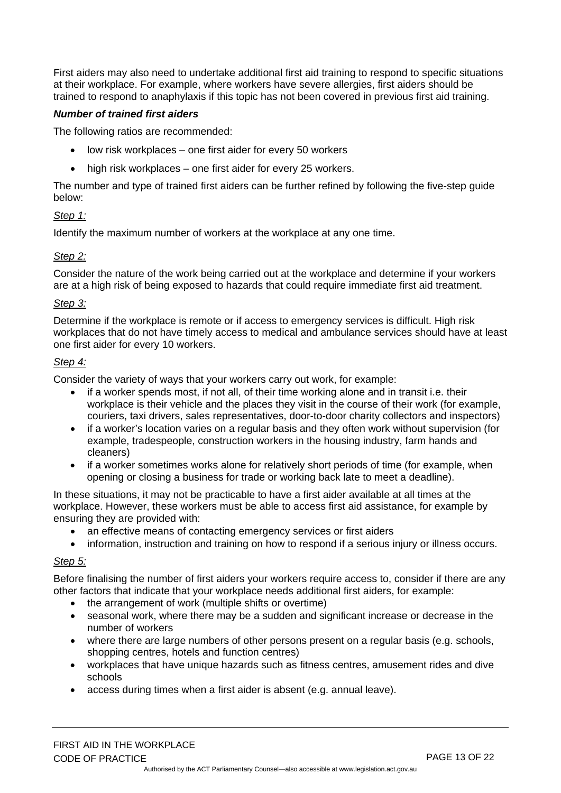First aiders may also need to undertake additional first aid training to respond to specific situations at their workplace. For example, where workers have severe allergies, first aiders should be trained to respond to anaphylaxis if this topic has not been covered in previous first aid training.

#### *Number of trained first aiders*

The following ratios are recommended:

- low risk workplaces one first aider for every 50 workers
- high risk workplaces one first aider for every 25 workers.

The number and type of trained first aiders can be further refined by following the five-step guide below:

#### *Step 1:*

Identify the maximum number of workers at the workplace at any one time.

#### *Step 2:*

Consider the nature of the work being carried out at the workplace and determine if your workers are at a high risk of being exposed to hazards that could require immediate first aid treatment.

#### *Step 3:*

Determine if the workplace is remote or if access to emergency services is difficult. High risk workplaces that do not have timely access to medical and ambulance services should have at least one first aider for every 10 workers.

#### *Step 4:*

Consider the variety of ways that your workers carry out work, for example:

- if a worker spends most, if not all, of their time working alone and in transit i.e. their workplace is their vehicle and the places they visit in the course of their work (for example, couriers, taxi drivers, sales representatives, door-to-door charity collectors and inspectors)
- if a worker's location varies on a regular basis and they often work without supervision (for example, tradespeople, construction workers in the housing industry, farm hands and cleaners)
- if a worker sometimes works alone for relatively short periods of time (for example, when opening or closing a business for trade or working back late to meet a deadline).

In these situations, it may not be practicable to have a first aider available at all times at the workplace. However, these workers must be able to access first aid assistance, for example by ensuring they are provided with:

- an effective means of contacting emergency services or first aiders
- information, instruction and training on how to respond if a serious injury or illness occurs.

#### *Step 5:*

Before finalising the number of first aiders your workers require access to, consider if there are any other factors that indicate that your workplace needs additional first aiders, for example:

- the arrangement of work (multiple shifts or overtime)
- seasonal work, where there may be a sudden and significant increase or decrease in the number of workers
- where there are large numbers of other persons present on a regular basis (e.g. schools, shopping centres, hotels and function centres)
- workplaces that have unique hazards such as fitness centres, amusement rides and dive schools
- access during times when a first aider is absent (e.g. annual leave).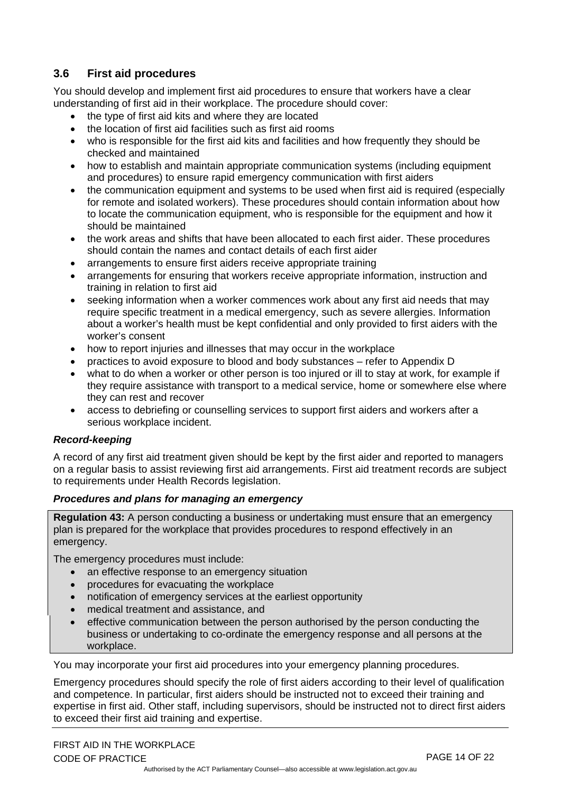# <span id="page-14-0"></span>**3.6 First aid procedures**

You should develop and implement first aid procedures to ensure that workers have a clear understanding of first aid in their workplace. The procedure should cover:

- the type of first aid kits and where they are located
- the location of first aid facilities such as first aid rooms
- who is responsible for the first aid kits and facilities and how frequently they should be checked and maintained
- how to establish and maintain appropriate communication systems (including equipment and procedures) to ensure rapid emergency communication with first aiders
- the communication equipment and systems to be used when first aid is required (especially for remote and isolated workers). These procedures should contain information about how to locate the communication equipment, who is responsible for the equipment and how it should be maintained
- the work areas and shifts that have been allocated to each first aider. These procedures should contain the names and contact details of each first aider
- arrangements to ensure first aiders receive appropriate training
- arrangements for ensuring that workers receive appropriate information, instruction and training in relation to first aid
- seeking information when a worker commences work about any first aid needs that may require specific treatment in a medical emergency, such as severe allergies. Information about a worker's health must be kept confidential and only provided to first aiders with the worker's consent
- how to report injuries and illnesses that may occur in the workplace
- practices to avoid exposure to blood and body substances refer to Appendix D
- what to do when a worker or other person is too injured or ill to stay at work, for example if they require assistance with transport to a medical service, home or somewhere else where they can rest and recover
- access to debriefing or counselling services to support first aiders and workers after a serious workplace incident.

#### *Record-keeping*

A record of any first aid treatment given should be kept by the first aider and reported to managers on a regular basis to assist reviewing first aid arrangements. First aid treatment records are subject to requirements under Health Records legislation.

#### *Procedures and plans for managing an emergency*

**Regulation 43:** A person conducting a business or undertaking must ensure that an emergency plan is prepared for the workplace that provides procedures to respond effectively in an emergency.

The emergency procedures must include:

- an effective response to an emergency situation
- procedures for evacuating the workplace
- notification of emergency services at the earliest opportunity
- medical treatment and assistance, and
- effective communication between the person authorised by the person conducting the business or undertaking to co-ordinate the emergency response and all persons at the workplace.

You may incorporate your first aid procedures into your emergency planning procedures.

Emergency procedures should specify the role of first aiders according to their level of qualification and competence. In particular, first aiders should be instructed not to exceed their training and expertise in first aid. Other staff, including supervisors, should be instructed not to direct first aiders to exceed their first aid training and expertise.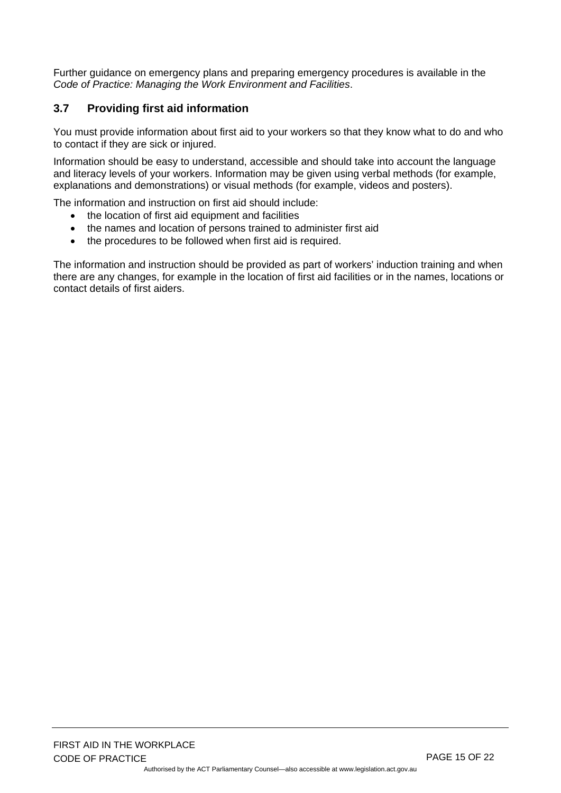Further guidance on emergency plans and preparing emergency procedures is available in the *Code of Practice: Managing the Work Environment and Facilities*.

# <span id="page-15-0"></span>**3.7 Providing first aid information**

You must provide information about first aid to your workers so that they know what to do and who to contact if they are sick or injured.

Information should be easy to understand, accessible and should take into account the language and literacy levels of your workers. Information may be given using verbal methods (for example, explanations and demonstrations) or visual methods (for example, videos and posters).

The information and instruction on first aid should include:

- the location of first aid equipment and facilities
- the names and location of persons trained to administer first aid
- the procedures to be followed when first aid is required.

The information and instruction should be provided as part of workers' induction training and when there are any changes, for example in the location of first aid facilities or in the names, locations or contact details of first aiders.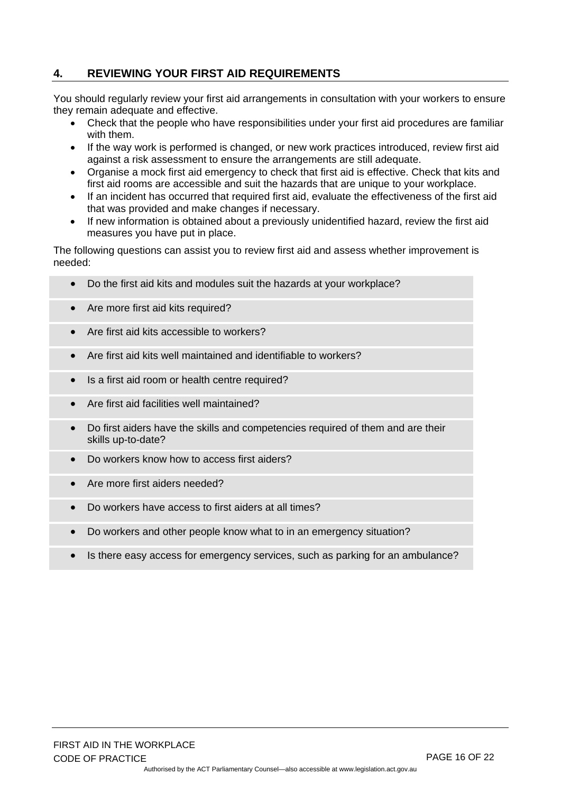# <span id="page-16-0"></span>**4. REVIEWING YOUR FIRST AID REQUIREMENTS**

You should regularly review your first aid arrangements in consultation with your workers to ensure they remain adequate and effective.

- Check that the people who have responsibilities under your first aid procedures are familiar with them.
- If the way work is performed is changed, or new work practices introduced, review first aid against a risk assessment to ensure the arrangements are still adequate.
- Organise a mock first aid emergency to check that first aid is effective. Check that kits and first aid rooms are accessible and suit the hazards that are unique to your workplace.
- If an incident has occurred that required first aid, evaluate the effectiveness of the first aid that was provided and make changes if necessary.
- If new information is obtained about a previously unidentified hazard, review the first aid measures you have put in place.

The following questions can assist you to review first aid and assess whether improvement is needed:

- Do the first aid kits and modules suit the hazards at your workplace?
- Are more first aid kits required?
- Are first aid kits accessible to workers?
- Are first aid kits well maintained and identifiable to workers?
- Is a first aid room or health centre required?
- Are first aid facilities well maintained?
- Do first aiders have the skills and competencies required of them and are their skills up-to-date?
- Do workers know how to access first aiders?
- Are more first aiders needed?
- Do workers have access to first aiders at all times?
- Do workers and other people know what to in an emergency situation?
- Is there easy access for emergency services, such as parking for an ambulance?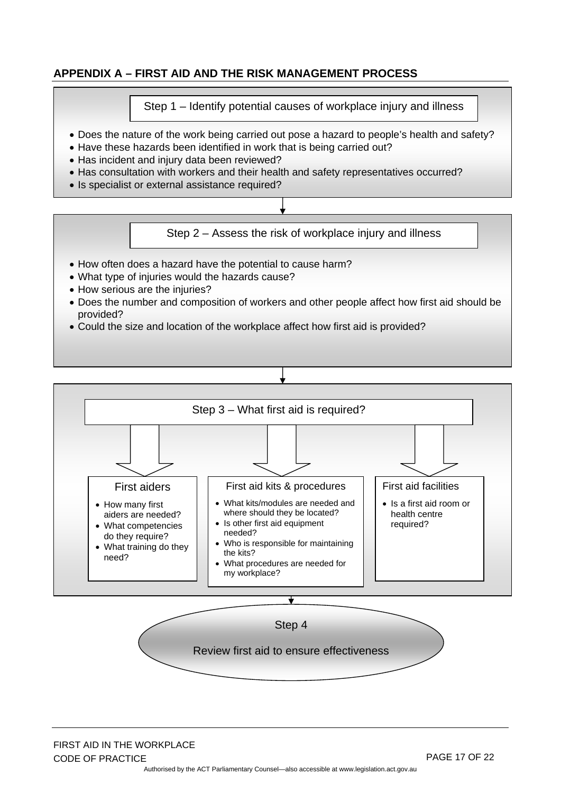# <span id="page-17-0"></span>**APPENDIX A – FIRST AID AND THE RISK MANAGEMENT PROCESS**

Step 1 – Identify potential causes of workplace injury and illness

- Does the nature of the work being carried out pose a hazard to people's health and safety?
- Have these hazards been identified in work that is being carried out?
- Has incident and injury data been reviewed?
- Has consultation with workers and their health and safety representatives occurred?
- Is specialist or external assistance required?

Step 2 – Assess the risk of workplace injury and illness

- How often does a hazard have the potential to cause harm?
- What type of injuries would the hazards cause?
- How serious are the injuries?
- Does the number and composition of workers and other people affect how first aid should be provided?
- Could the size and location of the workplace affect how first aid is provided?

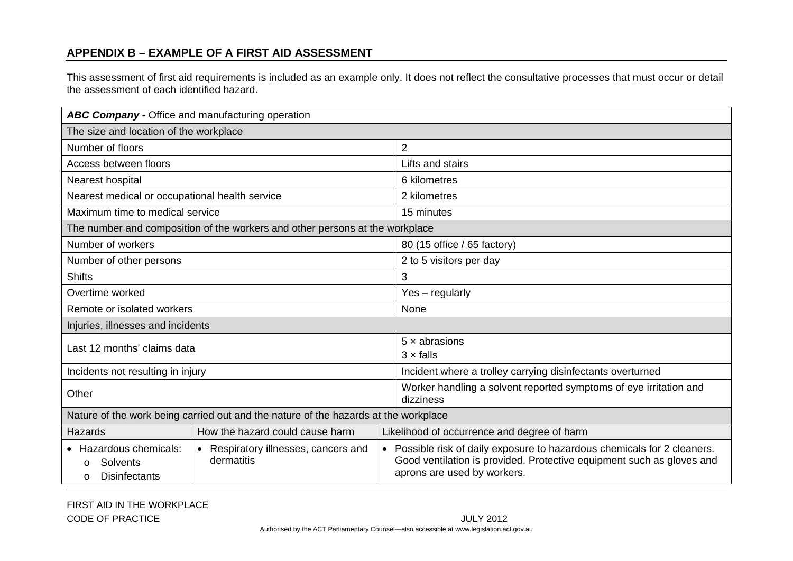# **APPENDIX B – EXAMPLE OF A FIRST AID ASSESSMENT**

This assessment of first aid requirements is included as an example only. It does not reflect the consultative processes that must occur or detail the assessment of each identified hazard.

<span id="page-18-0"></span>

| ABC Company - Office and manufacturing operation                                    |                                                               |                                                                                                                                                                                  |  |  |  |  |
|-------------------------------------------------------------------------------------|---------------------------------------------------------------|----------------------------------------------------------------------------------------------------------------------------------------------------------------------------------|--|--|--|--|
| The size and location of the workplace                                              |                                                               |                                                                                                                                                                                  |  |  |  |  |
| Number of floors                                                                    |                                                               | $\overline{2}$                                                                                                                                                                   |  |  |  |  |
| Access between floors                                                               |                                                               | Lifts and stairs                                                                                                                                                                 |  |  |  |  |
| Nearest hospital                                                                    |                                                               | 6 kilometres                                                                                                                                                                     |  |  |  |  |
| Nearest medical or occupational health service                                      |                                                               | 2 kilometres                                                                                                                                                                     |  |  |  |  |
| Maximum time to medical service                                                     |                                                               | 15 minutes                                                                                                                                                                       |  |  |  |  |
| The number and composition of the workers and other persons at the workplace        |                                                               |                                                                                                                                                                                  |  |  |  |  |
| Number of workers                                                                   |                                                               | 80 (15 office / 65 factory)                                                                                                                                                      |  |  |  |  |
| Number of other persons                                                             |                                                               | 2 to 5 visitors per day                                                                                                                                                          |  |  |  |  |
| <b>Shifts</b>                                                                       |                                                               | 3                                                                                                                                                                                |  |  |  |  |
| Overtime worked                                                                     |                                                               | Yes - regularly                                                                                                                                                                  |  |  |  |  |
| Remote or isolated workers                                                          |                                                               | None                                                                                                                                                                             |  |  |  |  |
| Injuries, illnesses and incidents                                                   |                                                               |                                                                                                                                                                                  |  |  |  |  |
| Last 12 months' claims data                                                         |                                                               | $5 \times$ abrasions<br>$3 \times$ falls                                                                                                                                         |  |  |  |  |
| Incidents not resulting in injury                                                   |                                                               | Incident where a trolley carrying disinfectants overturned                                                                                                                       |  |  |  |  |
| Other                                                                               |                                                               | Worker handling a solvent reported symptoms of eye irritation and<br>dizziness                                                                                                   |  |  |  |  |
| Nature of the work being carried out and the nature of the hazards at the workplace |                                                               |                                                                                                                                                                                  |  |  |  |  |
| <b>Hazards</b>                                                                      | How the hazard could cause harm                               | Likelihood of occurrence and degree of harm                                                                                                                                      |  |  |  |  |
| • Hazardous chemicals:<br>Solvents<br>$\circ$<br><b>Disinfectants</b><br>$\Omega$   | Respiratory illnesses, cancers and<br>$\bullet$<br>dermatitis | • Possible risk of daily exposure to hazardous chemicals for 2 cleaners.<br>Good ventilation is provided. Protective equipment such as gloves and<br>aprons are used by workers. |  |  |  |  |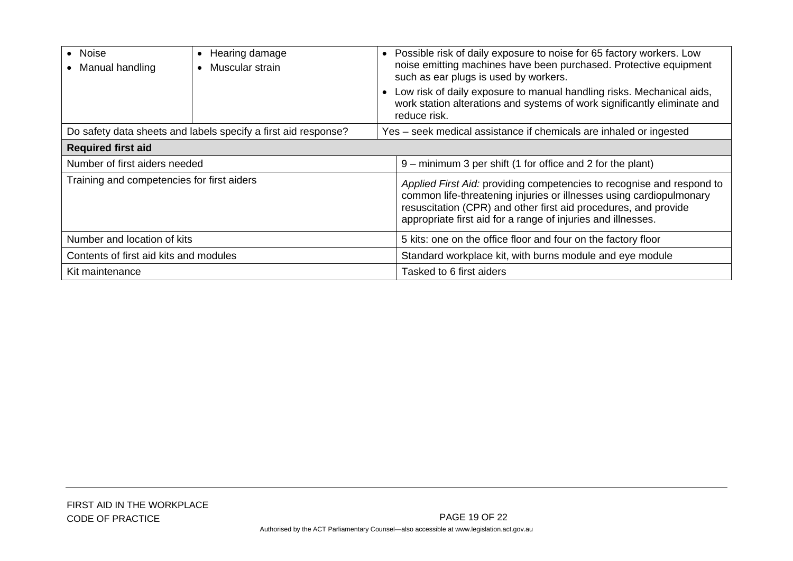| Noise<br>Manual handling                                       | Hearing damage<br>٠<br>Muscular strain<br>$\bullet$ | • Possible risk of daily exposure to noise for 65 factory workers. Low<br>noise emitting machines have been purchased. Protective equipment<br>such as ear plugs is used by workers.<br>Low risk of daily exposure to manual handling risks. Mechanical aids,<br>work station alterations and systems of work significantly eliminate and<br>reduce risk. |  |  |  |
|----------------------------------------------------------------|-----------------------------------------------------|-----------------------------------------------------------------------------------------------------------------------------------------------------------------------------------------------------------------------------------------------------------------------------------------------------------------------------------------------------------|--|--|--|
| Do safety data sheets and labels specify a first aid response? |                                                     | Yes – seek medical assistance if chemicals are inhaled or ingested                                                                                                                                                                                                                                                                                        |  |  |  |
| <b>Required first aid</b>                                      |                                                     |                                                                                                                                                                                                                                                                                                                                                           |  |  |  |
| Number of first aiders needed                                  |                                                     | 9 – minimum 3 per shift (1 for office and 2 for the plant)                                                                                                                                                                                                                                                                                                |  |  |  |
| Training and competencies for first aiders                     |                                                     | Applied First Aid: providing competencies to recognise and respond to<br>common life-threatening injuries or illnesses using cardiopulmonary<br>resuscitation (CPR) and other first aid procedures, and provide<br>appropriate first aid for a range of injuries and illnesses.                                                                           |  |  |  |
| Number and location of kits                                    |                                                     | 5 kits: one on the office floor and four on the factory floor                                                                                                                                                                                                                                                                                             |  |  |  |
| Contents of first aid kits and modules                         |                                                     | Standard workplace kit, with burns module and eye module                                                                                                                                                                                                                                                                                                  |  |  |  |
| Kit maintenance                                                |                                                     | Tasked to 6 first aiders                                                                                                                                                                                                                                                                                                                                  |  |  |  |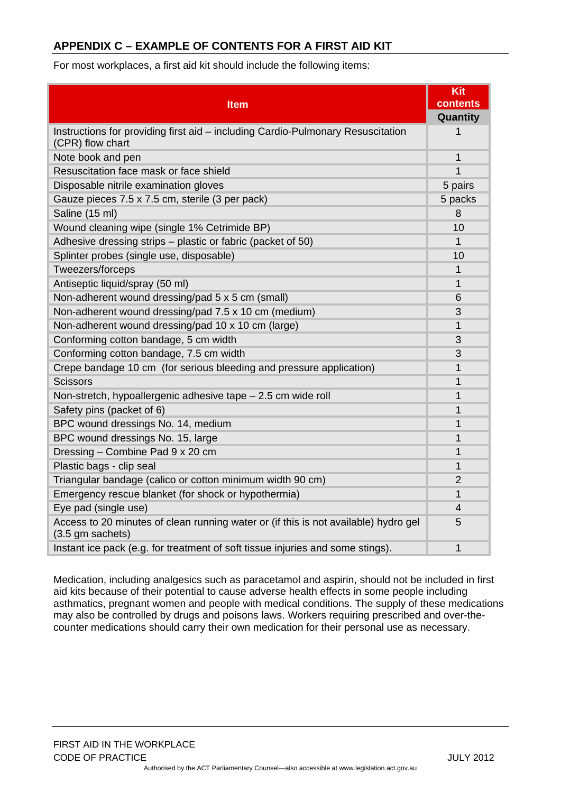# <span id="page-20-0"></span>**APPENDIX C – EXAMPLE OF CONTENTS FOR A FIRST AID KIT**

For most workplaces, a first aid kit should include the following items:

|                                                                                                         | Kit            |
|---------------------------------------------------------------------------------------------------------|----------------|
| <b>Item</b>                                                                                             | contents       |
|                                                                                                         | Quantity       |
| Instructions for providing first aid - including Cardio-Pulmonary Resuscitation<br>(CPR) flow chart     | 1              |
| Note book and pen                                                                                       | $\mathbf 1$    |
| Resuscitation face mask or face shield                                                                  | 1              |
| Disposable nitrile examination gloves                                                                   | 5 pairs        |
| Gauze pieces 7.5 x 7.5 cm, sterile (3 per pack)                                                         | 5 packs        |
| Saline (15 ml)                                                                                          | 8              |
| Wound cleaning wipe (single 1% Cetrimide BP)                                                            | 10             |
| Adhesive dressing strips – plastic or fabric (packet of 50)                                             | 1              |
| Splinter probes (single use, disposable)                                                                | 10             |
| Tweezers/forceps                                                                                        | $\mathbf{1}$   |
| Antiseptic liquid/spray (50 ml)                                                                         | $\overline{1}$ |
| Non-adherent wound dressing/pad 5 x 5 cm (small)                                                        | 6              |
| Non-adherent wound dressing/pad 7.5 x 10 cm (medium)                                                    | 3              |
| Non-adherent wound dressing/pad 10 x 10 cm (large)                                                      | 1              |
| Conforming cotton bandage, 5 cm width                                                                   | 3              |
| Conforming cotton bandage, 7.5 cm width                                                                 | 3              |
| Crepe bandage 10 cm (for serious bleeding and pressure application)                                     | 1              |
| <b>Scissors</b>                                                                                         | 1              |
| Non-stretch, hypoallergenic adhesive tape - 2.5 cm wide roll                                            | 1              |
| Safety pins (packet of 6)                                                                               | 1              |
| BPC wound dressings No. 14, medium                                                                      | $\overline{1}$ |
| BPC wound dressings No. 15, large                                                                       | 1              |
| Dressing - Combine Pad 9 x 20 cm                                                                        | 1              |
| Plastic bags - clip seal                                                                                | $\overline{1}$ |
| Triangular bandage (calico or cotton minimum width 90 cm)                                               | $\overline{2}$ |
| Emergency rescue blanket (for shock or hypothermia)                                                     | 1              |
| Eye pad (single use)                                                                                    | 4              |
| Access to 20 minutes of clean running water or (if this is not available) hydro gel<br>(3.5 gm sachets) | 5              |
| Instant ice pack (e.g. for treatment of soft tissue injuries and some stings).                          | 1              |

Medication, including analgesics such as paracetamol and aspirin, should not be included in first aid kits because of their potential to cause adverse health effects in some people including asthmatics, pregnant women and people with medical conditions. The supply of these medications may also be controlled by drugs and poisons laws. Workers requiring prescribed and over-thecounter medications should carry their own medication for their personal use as necessary.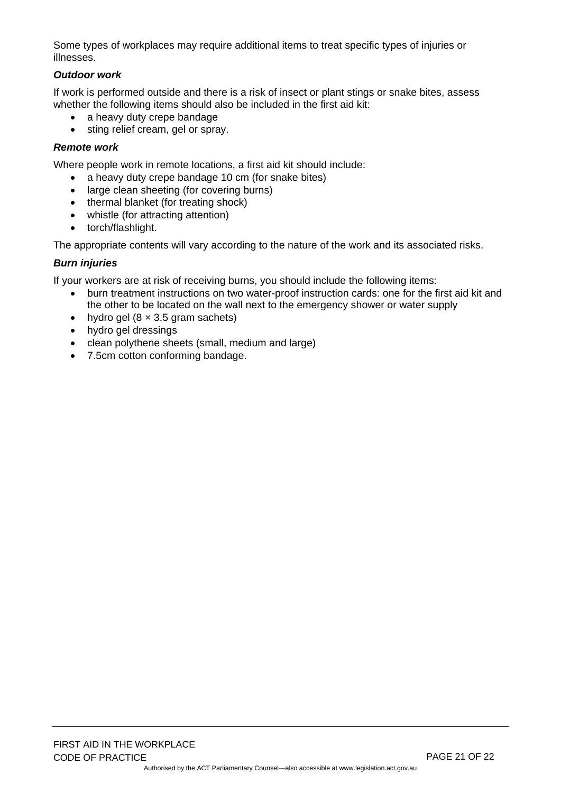Some types of workplaces may require additional items to treat specific types of injuries or illnesses.

#### *Outdoor work*

If work is performed outside and there is a risk of insect or plant stings or snake bites, assess whether the following items should also be included in the first aid kit:

- a heavy duty crepe bandage
- sting relief cream, gel or spray.

#### *Remote work*

Where people work in remote locations, a first aid kit should include:

- a heavy duty crepe bandage 10 cm (for snake bites)
- large clean sheeting (for covering burns)
- thermal blanket (for treating shock)
- whistle (for attracting attention)
- torch/flashlight.

The appropriate contents will vary according to the nature of the work and its associated risks.

#### *Burn injuries*

If your workers are at risk of receiving burns, you should include the following items:

- burn treatment instructions on two water-proof instruction cards: one for the first aid kit and the other to be located on the wall next to the emergency shower or water supply
- hydro gel  $(8 \times 3.5)$  gram sachets)
- hydro gel dressings
- clean polythene sheets (small, medium and large)
- 7.5cm cotton conforming bandage.